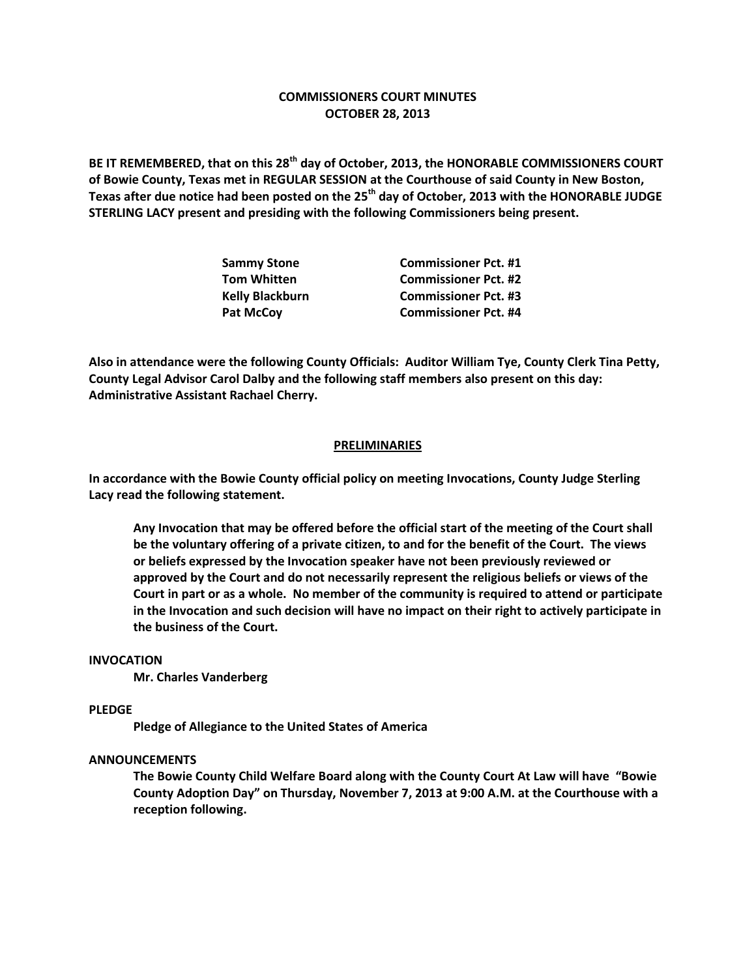# **COMMISSIONERS COURT MINUTES OCTOBER 28, 2013**

**BE IT REMEMBERED, that on this 28th day of October, 2013, the HONORABLE COMMISSIONERS COURT of Bowie County, Texas met in REGULAR SESSION at the Courthouse of said County in New Boston, Texas after due notice had been posted on the 25th day of October, 2013 with the HONORABLE JUDGE STERLING LACY present and presiding with the following Commissioners being present.**

| <b>Sammy Stone</b>     | <b>Commissioner Pct. #1</b> |
|------------------------|-----------------------------|
| <b>Tom Whitten</b>     | <b>Commissioner Pct. #2</b> |
| <b>Kelly Blackburn</b> | <b>Commissioner Pct. #3</b> |
| Pat McCoy              | <b>Commissioner Pct. #4</b> |

**Also in attendance were the following County Officials: Auditor William Tye, County Clerk Tina Petty, County Legal Advisor Carol Dalby and the following staff members also present on this day: Administrative Assistant Rachael Cherry.**

### **PRELIMINARIES**

**In accordance with the Bowie County official policy on meeting Invocations, County Judge Sterling Lacy read the following statement.**

**Any Invocation that may be offered before the official start of the meeting of the Court shall be the voluntary offering of a private citizen, to and for the benefit of the Court. The views or beliefs expressed by the Invocation speaker have not been previously reviewed or approved by the Court and do not necessarily represent the religious beliefs or views of the Court in part or as a whole. No member of the community is required to attend or participate in the Invocation and such decision will have no impact on their right to actively participate in the business of the Court.**

#### **INVOCATION**

**Mr. Charles Vanderberg**

#### **PLEDGE**

**Pledge of Allegiance to the United States of America**

## **ANNOUNCEMENTS**

**The Bowie County Child Welfare Board along with the County Court At Law will have "Bowie County Adoption Day" on Thursday, November 7, 2013 at 9:00 A.M. at the Courthouse with a reception following.**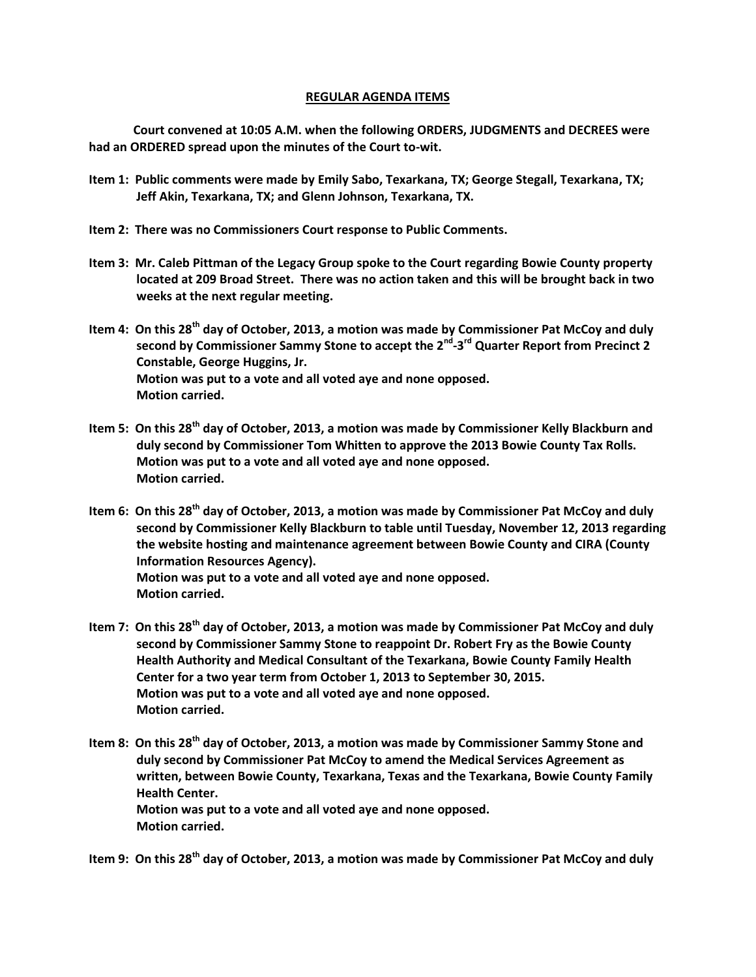### **REGULAR AGENDA ITEMS**

**Court convened at 10:05 A.M. when the following ORDERS, JUDGMENTS and DECREES were had an ORDERED spread upon the minutes of the Court to-wit.**

- **Item 1: Public comments were made by Emily Sabo, Texarkana, TX; George Stegall, Texarkana, TX; Jeff Akin, Texarkana, TX; and Glenn Johnson, Texarkana, TX.**
- **Item 2: There was no Commissioners Court response to Public Comments.**
- **Item 3: Mr. Caleb Pittman of the Legacy Group spoke to the Court regarding Bowie County property located at 209 Broad Street. There was no action taken and this will be brought back in two weeks at the next regular meeting.**
- **Item 4: On this 28th day of October, 2013, a motion was made by Commissioner Pat McCoy and duly second by Commissioner Sammy Stone to accept the 2nd -3 rd Quarter Report from Precinct 2 Constable, George Huggins, Jr. Motion was put to a vote and all voted aye and none opposed. Motion carried.**
- **Item 5: On this 28th day of October, 2013, a motion was made by Commissioner Kelly Blackburn and duly second by Commissioner Tom Whitten to approve the 2013 Bowie County Tax Rolls. Motion was put to a vote and all voted aye and none opposed. Motion carried.**
- **Item 6: On this 28th day of October, 2013, a motion was made by Commissioner Pat McCoy and duly second by Commissioner Kelly Blackburn to table until Tuesday, November 12, 2013 regarding the website hosting and maintenance agreement between Bowie County and CIRA (County Information Resources Agency). Motion was put to a vote and all voted aye and none opposed. Motion carried.**
- **Item 7: On this 28th day of October, 2013, a motion was made by Commissioner Pat McCoy and duly second by Commissioner Sammy Stone to reappoint Dr. Robert Fry as the Bowie County Health Authority and Medical Consultant of the Texarkana, Bowie County Family Health Center for a two year term from October 1, 2013 to September 30, 2015. Motion was put to a vote and all voted aye and none opposed. Motion carried.**
- **Item 8: On this 28th day of October, 2013, a motion was made by Commissioner Sammy Stone and duly second by Commissioner Pat McCoy to amend the Medical Services Agreement as written, between Bowie County, Texarkana, Texas and the Texarkana, Bowie County Family Health Center. Motion was put to a vote and all voted aye and none opposed. Motion carried.**

**Item 9: On this 28th day of October, 2013, a motion was made by Commissioner Pat McCoy and duly**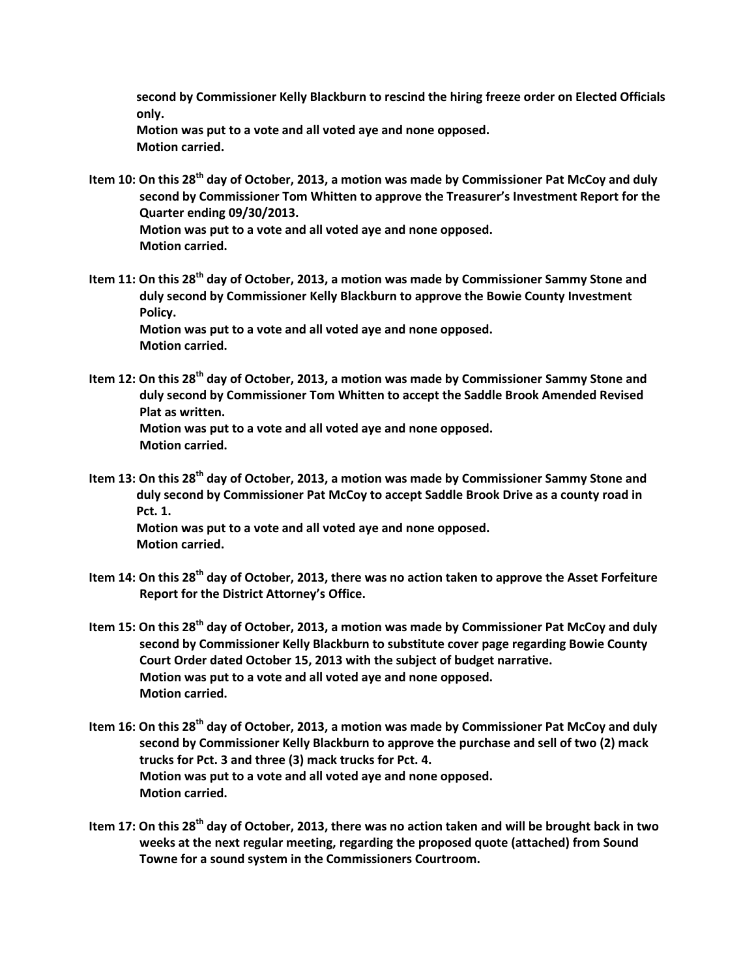**second by Commissioner Kelly Blackburn to rescind the hiring freeze order on Elected Officials only.**

**Motion was put to a vote and all voted aye and none opposed. Motion carried.**

- **Item 10: On this 28th day of October, 2013, a motion was made by Commissioner Pat McCoy and duly second by Commissioner Tom Whitten to approve the Treasurer's Investment Report for the Quarter ending 09/30/2013. Motion was put to a vote and all voted aye and none opposed.**
	- **Motion carried.**
- **Item 11: On this 28th day of October, 2013, a motion was made by Commissioner Sammy Stone and duly second by Commissioner Kelly Blackburn to approve the Bowie County Investment Policy. Motion was put to a vote and all voted aye and none opposed.**

 **Motion carried.**

- **Item 12: On this 28th day of October, 2013, a motion was made by Commissioner Sammy Stone and duly second by Commissioner Tom Whitten to accept the Saddle Brook Amended Revised Plat as written. Motion was put to a vote and all voted aye and none opposed. Motion carried.**
- **Item 13: On this 28th day of October, 2013, a motion was made by Commissioner Sammy Stone and duly second by Commissioner Pat McCoy to accept Saddle Brook Drive as a county road in Pct. 1. Motion was put to a vote and all voted aye and none opposed. Motion carried.**
- **Item 14: On this 28th day of October, 2013, there was no action taken to approve the Asset Forfeiture Report for the District Attorney's Office.**
- **Item 15: On this 28th day of October, 2013, a motion was made by Commissioner Pat McCoy and duly second by Commissioner Kelly Blackburn to substitute cover page regarding Bowie County Court Order dated October 15, 2013 with the subject of budget narrative. Motion was put to a vote and all voted aye and none opposed. Motion carried.**
- **Item 16: On this 28th day of October, 2013, a motion was made by Commissioner Pat McCoy and duly second by Commissioner Kelly Blackburn to approve the purchase and sell of two (2) mack trucks for Pct. 3 and three (3) mack trucks for Pct. 4. Motion was put to a vote and all voted aye and none opposed. Motion carried.**
- **Item 17: On this 28th day of October, 2013, there was no action taken and will be brought back in two weeks at the next regular meeting, regarding the proposed quote (attached) from Sound Towne for a sound system in the Commissioners Courtroom.**